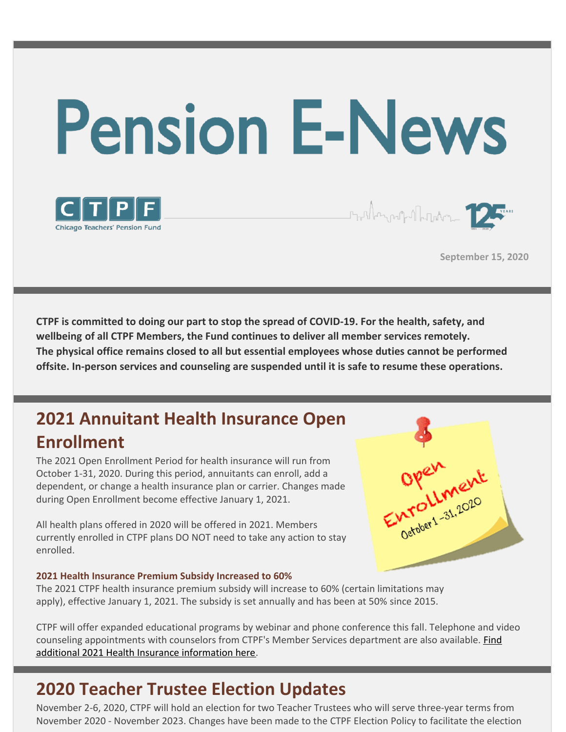



**September 15, 2020**

runden of Market 12

**CTPF is committed to doing our part to stop the spread of COVID-19. For the health, safety, and wellbeing of all CTPF Members, the Fund continues to deliver all member services remotely. The physical office remains closed to all but essential employees whose duties cannot be performed offsite. In-person services and counseling are suspended until it is safe to resume these operations.**

# **2021 Annuitant Health Insurance Open Enrollment**

The 2021 Open Enrollment Period for health insurance will run from October 1-31, 2020. During this period, annuitants can enroll, add a dependent, or change a health insurance plan or carrier. Changes made during Open Enrollment become effective January 1, 2021.

All health plans offered in 2020 will be offered in 2021. Members currently enrolled in CTPF plans DO NOT need to take any action to stay enrolled.

#### **2021 Health Insurance Premium Subsidy Increased to 60%**

The 2021 CTPF health insurance premium subsidy will increase to 60% (certain limitations may apply), effective January 1, 2021. The subsidy is set annually and has been at 50% since 2015.

CTPF will offer expanded educational programs by webinar and phone conference this fall. Telephone and video counseling [appointments](https://www.ctpf.org/open-enrollment) with counselors from CTPF's Member Services department are also available. **Find** additional 2021 Health Insurance information here.

### **2020 Teacher Trustee Election Updates**

November 2-6, 2020, CTPF will hold an election for two Teacher Trustees who will serve three-year terms from November 2020 - November 2023. Changes have been made to the CTPF Election Policy to facilitate the election

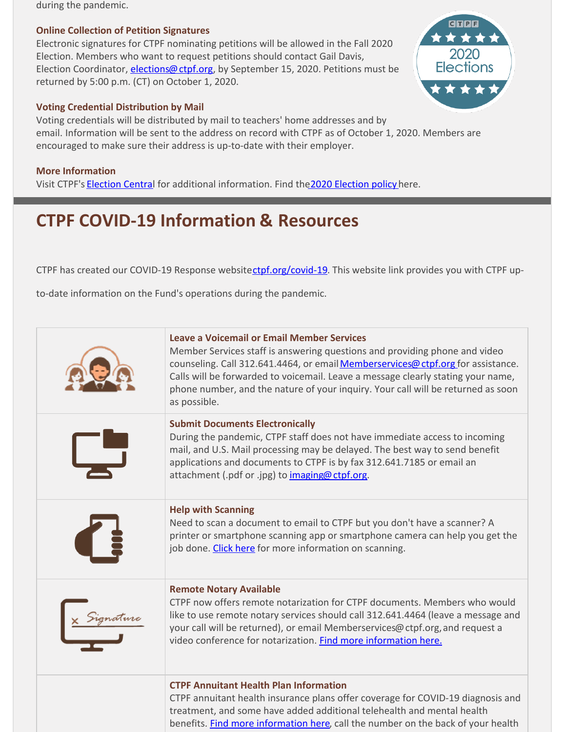during the pandemic.

#### **Online Collection of Petition Signatures**

Electronic signatures for CTPF nominating petitions will be allowed in the Fall 2020 Election. Members who want to request petitions should contact Gail Davis, Election Coordinator, *[elections@ctpf.org](mailto:elections@ctpf.org)*, by September 15, 2020. Petitions must be returned by 5:00 p.m. (CT) on October 1, 2020.

#### **Voting Credential Distribution by Mail**

Voting credentials will be distributed by mail to teachers' home addresses and by email. Information will be sent to the address on record with CTPF as of October 1, 2020. Members are encouraged to make sure their address is up-to-date with their employer.

#### **More Information**

Visit CTPF's [Election](https://www.ctpf.org/sites/main/files/file-attachments/amended_election_policy_8.21.20_djh.pdf) Central for additional information. Find the 2020 Election policy here.

# **CTPF COVID-19 Information & Resources**

CTPF has created our COVID-19 Response website[ctpf.org/covid-19](http://ctpf.org/covid-19). This website link provides you with CTPF up-

to-date information on the Fund's operations during the pandemic.

| Leave a Voicemail or Email Member Services<br>Member Services staff is answering questions and providing phone and video<br>counseling. Call 312.641.4464, or email Memberservices@ctpf.org for assistance.<br>Calls will be forwarded to voicemail. Leave a message clearly stating your name,<br>phone number, and the nature of your inquiry. Your call will be returned as soon<br>as possible. |
|-----------------------------------------------------------------------------------------------------------------------------------------------------------------------------------------------------------------------------------------------------------------------------------------------------------------------------------------------------------------------------------------------------|
| <b>Submit Documents Electronically</b><br>During the pandemic, CTPF staff does not have immediate access to incoming<br>mail, and U.S. Mail processing may be delayed. The best way to send benefit<br>applications and documents to CTPF is by fax 312.641.7185 or email an<br>attachment (.pdf or .jpg) to imaging@ctpf.org.                                                                      |
| <b>Help with Scanning</b><br>Need to scan a document to email to CTPF but you don't have a scanner? A<br>printer or smartphone scanning app or smartphone camera can help you get the<br>job done. Click here for more information on scanning.                                                                                                                                                     |
| <b>Remote Notary Available</b><br>CTPF now offers remote notarization for CTPF documents. Members who would<br>like to use remote notary services should call 312.641.4464 (leave a message and<br>your call will be returned), or email Memberservices@ctpf.org, and request a<br>video conference for notarization. Find more information here.                                                   |
| <b>CTPF Annuitant Health Plan Information</b><br>CTPF annuitant health insurance plans offer coverage for COVID-19 diagnosis and<br>treatment, and some have added additional telehealth and mental health<br>benefits. Find more information here, call the number on the back of your health                                                                                                      |